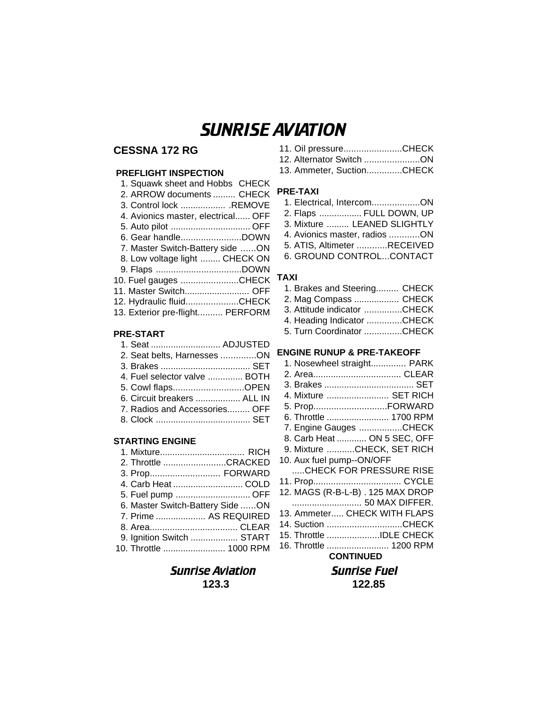# SUNRISE AVIATION

# **CESSNA 172 RG**

# **PREFLIGHT INSPECTION**

| 1. Squawk sheet and Hobbs CHECK    |
|------------------------------------|
| 2. ARROW documents  CHECK          |
| 3. Control lock  REMOVE            |
| 4. Avionics master, electrical OFF |
|                                    |
| 6. Gear handleDOWN                 |
| 7. Master Switch-Battery side ON   |
| 8. Low voltage light  CHECK ON     |
|                                    |
| 10. Fuel gauges CHECK              |
| 11. Master Switch OFF              |
| 12. Hydraulic fluidCHECK           |
| 13. Exterior pre-flight PERFORM    |

## **PRE-START**

| 1. Seat  ADJUSTED             |  |
|-------------------------------|--|
| 2. Seat belts, Harnesses ON   |  |
|                               |  |
| 4. Fuel selector valve  BOTH  |  |
| 5. Cowl flapsOPEN             |  |
| 6. Circuit breakers  ALL IN   |  |
| 7. Radios and Accessories OFF |  |
|                               |  |
|                               |  |

### **STARTING ENGINE**

| 1. Mixture RICH                  |
|----------------------------------|
| 2. Throttle CRACKED              |
| 3. Prop FORWARD                  |
| 4. Carb Heat  COLD               |
| 5. Fuel pump  OFF                |
| 6. Master Switch-Battery Side ON |
| 7. Prime  AS REQUIRED            |
|                                  |
| 9. Ignition Switch  START        |
| 10. Throttle  1000 RPM           |

# **Sunrise Aviation Sunrise Fuel 123.3 122.85**

| 11. Oil pressureCHECK    |  |
|--------------------------|--|
| 12. Alternator Switch ON |  |

13. Ammeter, Suction..............CHECK

### **PRE-TAXI**

- 1. Electrical, Intercom...................ON 2. Flaps ................. FULL DOWN, UP
- 3. Mixture ......... LEANED SLIGHTLY
- 4. Avionics master, radios ............ON
- 5. ATIS, Altimeter ............RECEIVED
- 6. GROUND CONTROL...CONTACT

### **TAXI**

| 1. Brakes and Steering CHECK |  |
|------------------------------|--|
| 2. Mag Compass  CHECK        |  |
| 3. Attitude indicator CHECK  |  |
| 4. Heading Indicator CHECK   |  |
| 5. Turn Coordinator CHECK    |  |

### **ENGINE RUNUP & PRE-TAKEOFF**

| 1. Nosewheel straight PARK        |  |
|-----------------------------------|--|
|                                   |  |
|                                   |  |
| 4. Mixture  SET RICH              |  |
| 5. PropFORWARD                    |  |
| 6. Throttle  1700 RPM             |  |
| 7. Engine Gauges CHECK            |  |
| 8. Carb Heat  ON 5 SEC. OFF       |  |
| 9. Mixture CHECK, SET RICH        |  |
| 10. Aux fuel pump--ON/OFF         |  |
| CHECK FOR PRESSURE RISE           |  |
|                                   |  |
| 12. MAGS (R-B-L-B) . 125 MAX DROP |  |
| 50 MAX DIFFER.                    |  |
| 13. Ammeter CHECK WITH FLAPS      |  |
| 14. Suction CHECK                 |  |
| 15. Throttle IDLE CHECK           |  |
| 16. Throttle  1200 RPM            |  |
| <b>CONTINUED</b>                  |  |
|                                   |  |